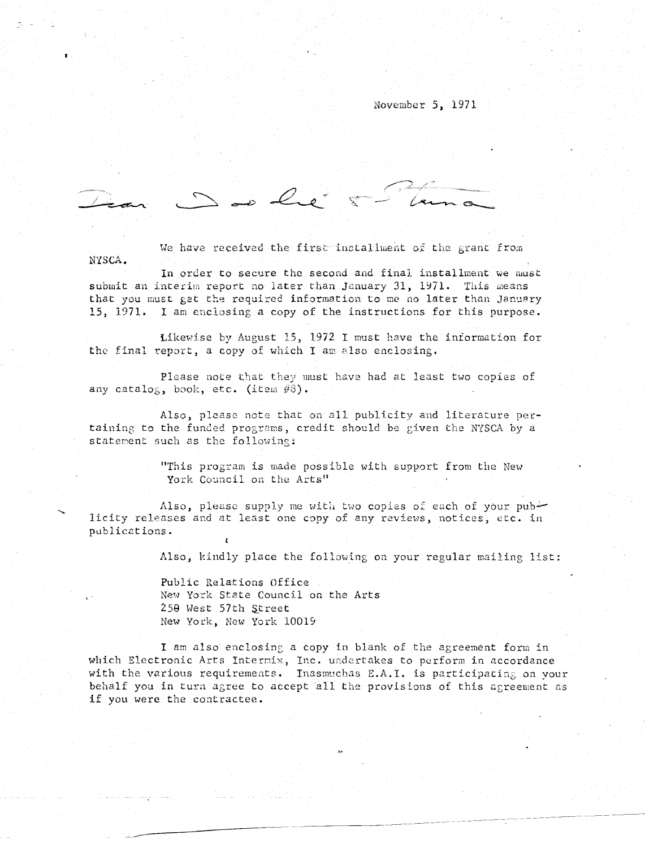## November 5, 1971

De le

allment of NYSCA.

In order to secure the second and final installment we must submit an interim report no later than January 31, 1971. This means that you must get the required information to me no later than January 15, 1971. I am enclosing a copy of the instructions for this purpose.

Likewise by August 15, 1972 1 must have the information for the final report, a copy of which I am also enclosing.

Please note that they must have had at least two copies of any catalog, book, etc. (item  $#8$ ).

taining to the funded programs, credit should be given the NYSCA by a Also, please note that on all publicity and literature perstatement such as the following:

> "This program is made possible with support from the New York Council on the Arts"

Also, please supply me with two copies of each of your publicity releases and at least one copy of any reviews, notices, etc. in publications .

Also, kindly place the following on your regular mailing list :

Public Relations Office New York State Council on Arts 250 West 57th Street New York, New York 10019

I am also enclosing a copy in blank of the agreement form in which Electronic Arts Intermix, Inc. undertakes to perform in accordance with the various requirements. Inasmuchas E.A.I. is participating on your behalf you in tura agree to accept all the provisions of this agreement as if you were the contractee .